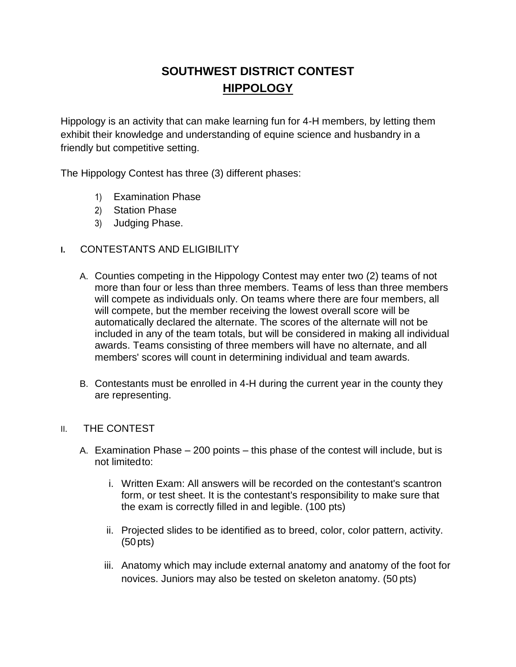# **SOUTHWEST DISTRICT CONTEST HIPPOLOGY**

Hippology is an activity that can make learning fun for 4-H members, by letting them exhibit their knowledge and understanding of equine science and husbandry in a friendly but competitive setting.

The Hippology Contest has three (3) different phases:

- 1) Examination Phase
- 2) Station Phase
- 3) Judging Phase.

## **I.** CONTESTANTS AND ELIGIBILITY

- A. Counties competing in the Hippology Contest may enter two (2) teams of not more than four or less than three members. Teams of less than three members will compete as individuals only. On teams where there are four members, all will compete, but the member receiving the lowest overall score will be automatically declared the alternate. The scores of the alternate will not be included in any of the team totals, but will be considered in making all individual awards. Teams consisting of three members will have no alternate, and all members' scores will count in determining individual and team awards.
- B. Contestants must be enrolled in 4-H during the current year in the county they are representing.

## II. THE CONTEST

- A. Examination Phase 200 points this phase of the contest will include, but is not limitedto:
	- i. Written Exam: All answers will be recorded on the contestant's scantron form, or test sheet. It is the contestant's responsibility to make sure that the exam is correctly filled in and legible. (100 pts)
	- ii. Projected slides to be identified as to breed, color, color pattern, activity. (50pts)
	- iii. Anatomy which may include external anatomy and anatomy of the foot for novices. Juniors may also be tested on skeleton anatomy. (50 pts)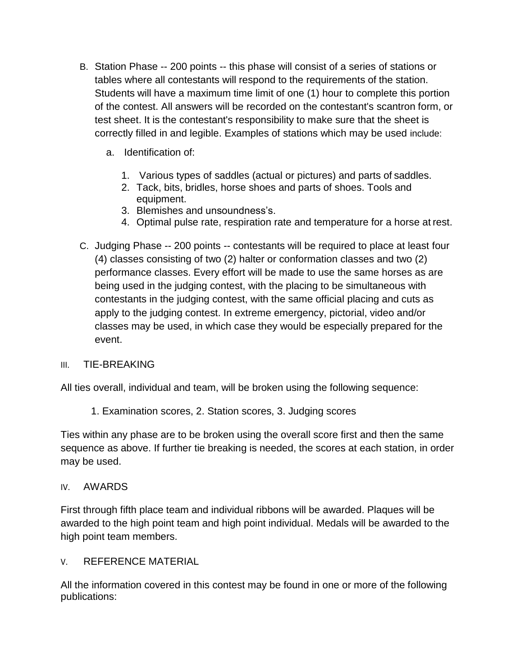- B. Station Phase -- 200 points -- this phase will consist of a series of stations or tables where all contestants will respond to the requirements of the station. Students will have a maximum time limit of one (1) hour to complete this portion of the contest. All answers will be recorded on the contestant's scantron form, or test sheet. It is the contestant's responsibility to make sure that the sheet is correctly filled in and legible. Examples of stations which may be used include:
	- a. Identification of:
		- 1. Various types of saddles (actual or pictures) and parts of saddles.
		- 2. Tack, bits, bridles, horse shoes and parts of shoes. Tools and equipment.
		- 3. Blemishes and unsoundness's.
		- 4. Optimal pulse rate, respiration rate and temperature for a horse at rest.
- C. Judging Phase -- 200 points -- contestants will be required to place at least four (4) classes consisting of two (2) halter or conformation classes and two (2) performance classes. Every effort will be made to use the same horses as are being used in the judging contest, with the placing to be simultaneous with contestants in the judging contest, with the same official placing and cuts as apply to the judging contest. In extreme emergency, pictorial, video and/or classes may be used, in which case they would be especially prepared for the event.

# III. TIE-BREAKING

All ties overall, individual and team, will be broken using the following sequence:

1. Examination scores, 2. Station scores, 3. Judging scores

Ties within any phase are to be broken using the overall score first and then the same sequence as above. If further tie breaking is needed, the scores at each station, in order may be used.

## IV. AWARDS

First through fifth place team and individual ribbons will be awarded. Plaques will be awarded to the high point team and high point individual. Medals will be awarded to the high point team members.

# V. REFERENCE MATERIAL

All the information covered in this contest may be found in one or more of the following publications: